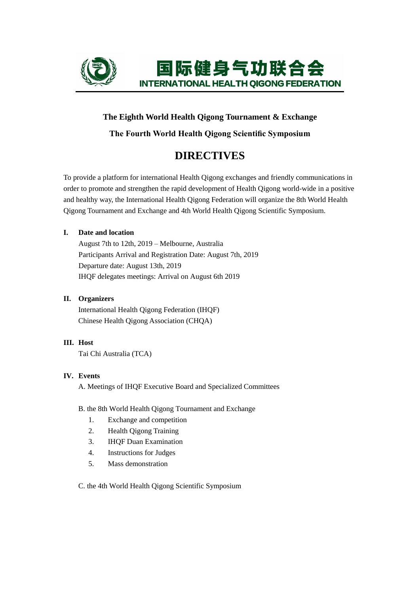

## **The Eighth World Health Qigong Tournament & Exchange**

## **The Fourth World Health Qigong Scientific Symposium**

# **DIRECTIVES**

To provide a platform for international Health Qigong exchanges and friendly communications in order to promote and strengthen the rapid development of Health Qigong world-wide in a positive and healthy way, the International Health Qigong Federation will organize the 8th World Health Qigong Tournament and Exchange and 4th World Health Qigong Scientific Symposium.

## **I. Date and location**

August 7th to 12th, 2019 – Melbourne, Australia Participants Arrival and Registration Date: August 7th, 2019 Departure date: August 13th, 2019 IHQF delegates meetings: Arrival on August 6th 2019

## **II. Organizers**

International Health Qigong Federation (IHQF) Chinese Health Qigong Association (CHQA)

## **III. Host**

Tai Chi Australia (TCA)

## **IV. Events**

A. Meetings of IHQF Executive Board and Specialized Committees

## B. the 8th World Health Qigong Tournament and Exchange

- 1. Exchange and competition
- 2. Health Qigong Training
- 3. IHQF Duan Examination
- 4. Instructions for Judges
- 5. Mass demonstration

C. the 4th World Health Qigong Scientific Symposium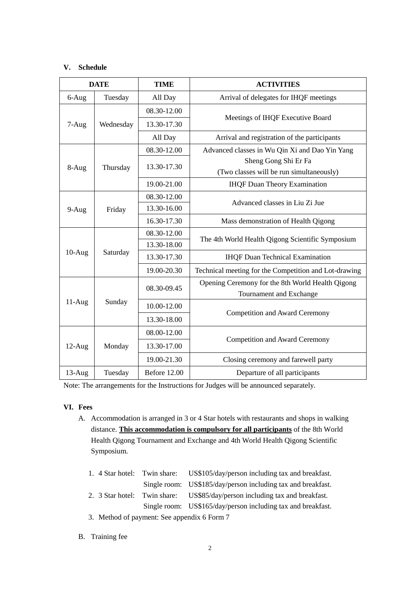### **V. Schedule**

| <b>DATE</b><br><b>TIME</b> |             |                     | <b>ACTIVITIES</b>                                                           |                                        |  |  |  |  |             |                                                  |
|----------------------------|-------------|---------------------|-----------------------------------------------------------------------------|----------------------------------------|--|--|--|--|-------------|--------------------------------------------------|
| 6-Aug                      | Tuesday     | All Day             | Arrival of delegates for IHQF meetings                                      |                                        |  |  |  |  |             |                                                  |
|                            |             | 08.30-12.00         |                                                                             |                                        |  |  |  |  |             |                                                  |
| $7-Aug$                    | Wednesday   | 13.30-17.30         | Meetings of IHQF Executive Board                                            |                                        |  |  |  |  |             |                                                  |
|                            |             | All Day             | Arrival and registration of the participants                                |                                        |  |  |  |  |             |                                                  |
|                            |             | 08.30-12.00         | Advanced classes in Wu Qin Xi and Dao Yin Yang                              |                                        |  |  |  |  |             |                                                  |
|                            |             |                     | Sheng Gong Shi Er Fa                                                        |                                        |  |  |  |  |             |                                                  |
| 8-Aug                      | Thursday    | 13.30-17.30         | (Two classes will be run simultaneously)                                    |                                        |  |  |  |  |             |                                                  |
|                            | 19.00-21.00 |                     | <b>IHQF Duan Theory Examination</b>                                         |                                        |  |  |  |  |             |                                                  |
|                            |             | 08.30-12.00         | Advanced classes in Liu Zi Jue                                              |                                        |  |  |  |  |             |                                                  |
| Friday<br>$9-Aug$          |             | 13.30-16.00         |                                                                             |                                        |  |  |  |  |             |                                                  |
|                            |             | 16.30-17.30         | Mass demonstration of Health Qigong                                         |                                        |  |  |  |  |             |                                                  |
|                            |             | 08.30-12.00         |                                                                             |                                        |  |  |  |  |             |                                                  |
|                            | Saturday    |                     |                                                                             |                                        |  |  |  |  | 13.30-18.00 | The 4th World Health Qigong Scientific Symposium |
| $10-Aug$                   |             |                     | 13.30-17.30                                                                 | <b>IHQF Duan Technical Examination</b> |  |  |  |  |             |                                                  |
|                            |             | 19.00-20.30         | Technical meeting for the Competition and Lot-drawing                       |                                        |  |  |  |  |             |                                                  |
|                            |             | 08.30-09.45         | Opening Ceremony for the 8th World Health Qigong<br>Tournament and Exchange |                                        |  |  |  |  |             |                                                  |
| $11-Aug$                   | Sunday      | 10.00-12.00         |                                                                             |                                        |  |  |  |  |             |                                                  |
|                            |             | 13.30-18.00         | <b>Competition and Award Ceremony</b>                                       |                                        |  |  |  |  |             |                                                  |
|                            |             | 08.00-12.00         |                                                                             |                                        |  |  |  |  |             |                                                  |
| $12-Aug$                   | Monday      | 13.30-17.00         | <b>Competition and Award Ceremony</b>                                       |                                        |  |  |  |  |             |                                                  |
|                            |             | 19.00-21.30         | Closing ceremony and farewell party                                         |                                        |  |  |  |  |             |                                                  |
| $13-Aug$                   | Tuesday     | <b>Before 12.00</b> | Departure of all participants                                               |                                        |  |  |  |  |             |                                                  |

Note: The arrangements for the Instructions for Judges will be announced separately.

## **VI. Fees**

- A. Accommodation is arranged in 3 or 4 Star hotels with restaurants and shops in walking distance. **This accommodation is compulsory for all participants** of the 8th World Health Qigong Tournament and Exchange and 4th World Health Qigong Scientific Symposium.
	- 1. 4 Star hotel: Twin share: US\$105/day/person including tax and breakfast. Single room: US\$185/day/person including tax and breakfast. 2. 3 Star hotel: Twin share: US\$85/day/person including tax and breakfast. Single room: US\$165/day/person including tax and breakfast.
	- 3. Method of payment: See appendix 6 Form 7
- B. Training fee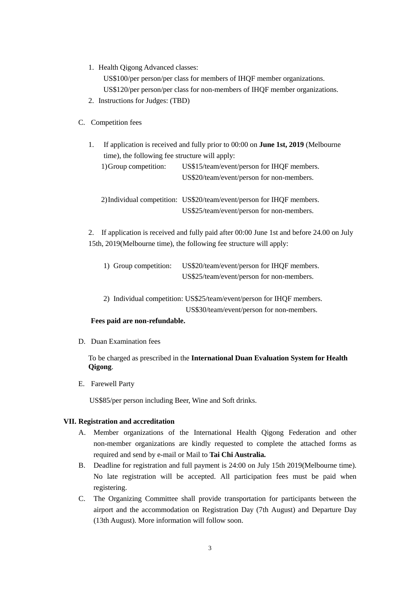1. Health Qigong Advanced classes:

US\$100/per person/per class for members of IHQF member organizations. US\$120/per person/per class for non-members of IHQF member organizations.

2. Instructions for Judges: (TBD)

### C. Competition fees

1. If application is received and fully prior to 00:00 on **June 1st, 2019** (Melbourne time), the following fee structure will apply:

| 1) Group competition: | US\$15/team/event/person for IHQF members. |
|-----------------------|--------------------------------------------|
|                       | US\$20/team/event/person for non-members.  |

2)Individual competition: US\$20/team/event/person for IHQF members. US\$25/team/event/person for non-members.

2. If application is received and fully paid after 00:00 June 1st and before 24.00 on July 15th, 2019(Melbourne time), the following fee structure will apply:

| 1) Group competition: | US\$20/team/event/person for IHQF members. |
|-----------------------|--------------------------------------------|
|                       | US\$25/team/event/person for non-members.  |

2) Individual competition: US\$25/team/event/person for IHQF members. US\$30/team/event/person for non-members.

### **Fees paid are non-refundable.**

D. Duan Examination fees

 To be charged as prescribed in the **International Duan Evaluation System for Health Qigong**.

E. Farewell Party

US\$85/per person including Beer, Wine and Soft drinks.

#### **VII. Registration and accreditation**

- A. Member organizations of the International Health Qigong Federation and other non-member organizations are kindly requested to complete the attached forms as required and send by e-mail or Mail to **Tai Chi Australia.**
- B. Deadline for registration and full payment is 24:00 on July 15th 2019(Melbourne time). No late registration will be accepted. All participation fees must be paid when registering.
- C. The Organizing Committee shall provide transportation for participants between the airport and the accommodation on Registration Day (7th August) and Departure Day (13th August). More information will follow soon.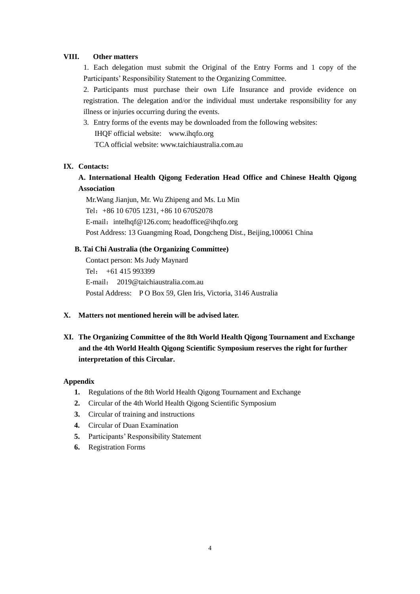#### **VIII. Other matters**

1. Each delegation must submit the Original of the Entry Forms and 1 copy of the Participants' Responsibility Statement to the Organizing Committee.

2. Participants must purchase their own Life Insurance and provide evidence on registration. The delegation and/or the individual must undertake responsibility for any illness or injuries occurring during the events.

3. Entry forms of the events may be downloaded from the following websites: IHQF official website: [www.ihqfo.org](http://www.ihqfo.org/) TCA official website: [www.taichiaustralia.com.au](http://www.taichiaustralia.com.au/)

## **IX. Contacts:**

## **A. International Health Qigong Federation Head Office and Chinese Health Qigong Association**

Mr.Wang Jianjun, Mr. Wu Zhipeng and Ms. Lu Min Tel:+86 10 6705 1231, +86 10 67052078 E-mail: intelhqf@126.com; headoffice@ihqfo.org Post Address: 13 Guangming Road, Dongcheng Dist., Beijing,100061 China

#### **B. Tai Chi Australia (the Organizing Committee)**

Contact person: Ms Judy Maynard Tel: +61 415 993399 E-mail: 2019@taichiaustralia.com.au Postal Address: P O Box 59, Glen Iris, Victoria, 3146 Australia

## **X. Matters not mentioned herein will be advised later.**

## **XI. The Organizing Committee of the 8th World Health Qigong Tournament and Exchange and the 4th World Health Qigong Scientific Symposium reserves the right for further interpretation of this Circular**.

#### **Appendix**

- **1.** Regulations of the 8th World Health Qigong Tournament and Exchange
- **2.** Circular of the 4th World Health Qigong Scientific Symposium
- **3.** Circular of training and instructions
- **4.** Circular of Duan Examination
- **5.** Participants' Responsibility Statement
- **6.** Registration Forms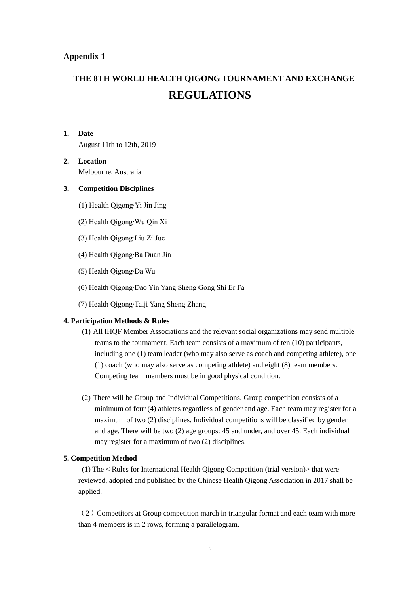# **THE 8TH WORLD HEALTH QIGONG TOURNAMENT AND EXCHANGE REGULATIONS**

#### **1. Date**

August 11th to 12th, 2019

**2. Location** Melbourne, Australia

#### **3. Competition Disciplines**

- (1) Health Qigong∙Yi Jin Jing
- (2) Health Qigong∙Wu Qin Xi
- (3) Health Qigong∙Liu Zi Jue
- (4) Health Qigong∙Ba Duan Jin
- (5) Health Qigong∙Da Wu
- (6) Health Qigong∙Dao Yin Yang Sheng Gong Shi Er Fa
- (7) Health Qigong∙Taiji Yang Sheng Zhang

#### **4. Participation Methods & Rules**

- (1) All IHQF Member Associations and the relevant social organizations may send multiple teams to the tournament. Each team consists of a maximum of ten (10) participants, including one (1) team leader (who may also serve as coach and competing athlete), one (1) coach (who may also serve as competing athlete) and eight (8) team members. Competing team members must be in good physical condition.
- (2) There will be Group and Individual Competitions. Group competition consists of a minimum of four (4) athletes regardless of gender and age. Each team may register for a maximum of two (2) disciplines. Individual competitions will be classified by gender and age. There will be two (2) age groups: 45 and under, and over 45. Each individual may register for a maximum of two (2) disciplines.

#### **5. Competition Method**

(1) The < Rules for International Health Qigong Competition (trial version)> that were reviewed, adopted and published by the Chinese Health Qigong Association in 2017 shall be applied.

 $(2)$  Competitors at Group competition march in triangular format and each team with more than 4 members is in 2 rows, forming a parallelogram.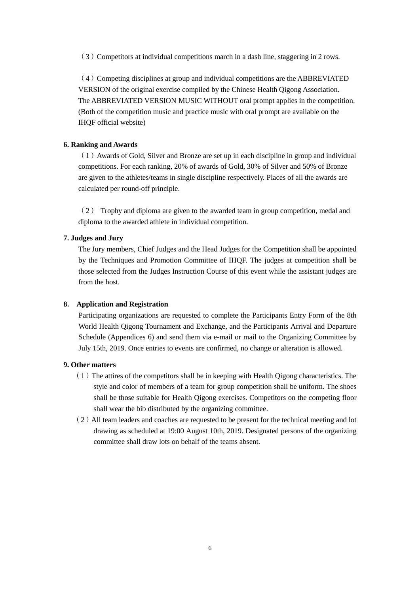(3)Competitors at individual competitions march in a dash line, staggering in 2 rows.

(4)Competing disciplines at group and individual competitions are the ABBREVIATED VERSION of the original exercise compiled by the Chinese Health Qigong Association. The ABBREVIATED VERSION MUSIC WITHOUT oral prompt applies in the competition. (Both of the competition music and practice music with oral prompt are available on the IHQF official website)

### **6. Ranking and Awards**

(1)Awards of Gold, Silver and Bronze are set up in each discipline in group and individual competitions. For each ranking, 20% of awards of Gold, 30% of Silver and 50% of Bronze are given to the athletes/teams in single discipline respectively. Places of all the awards are calculated per round-off principle.

(2) Trophy and diploma are given to the awarded team in group competition, medal and diploma to the awarded athlete in individual competition.

### **7. Judges and Jury**

The Jury members, Chief Judges and the Head Judges for the Competition shall be appointed by the Techniques and Promotion Committee of IHQF. The judges at competition shall be those selected from the Judges Instruction Course of this event while the assistant judges are from the host.

#### **8. Application and Registration**

Participating organizations are requested to complete the Participants Entry Form of the 8th World Health Qigong Tournament and Exchange, and the Participants Arrival and Departure Schedule (Appendices 6) and send them via e-mail or mail to the Organizing Committee by July 15th, 2019. Once entries to events are confirmed, no change or alteration is allowed.

### **9. Other matters**

- $(1)$  The attires of the competitors shall be in keeping with Health Oigong characteristics. The style and color of members of a team for group competition shall be uniform. The shoes shall be those suitable for Health Qigong exercises. Competitors on the competing floor shall wear the bib distributed by the organizing committee.
- (2)All team leaders and coaches are requested to be present for the technical meeting and lot drawing as scheduled at 19:00 August 10th, 2019. Designated persons of the organizing committee shall draw lots on behalf of the teams absent.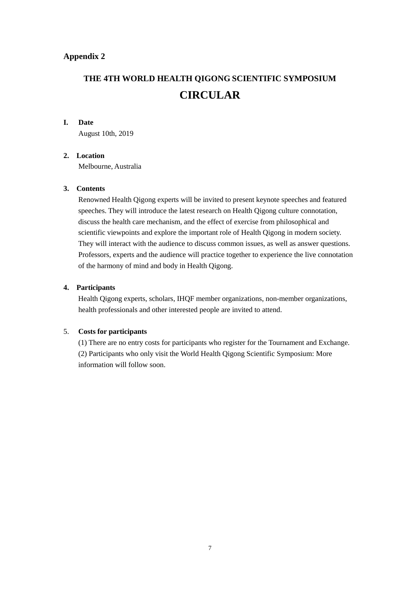# **THE 4TH WORLD HEALTH QIGONG SCIENTIFIC SYMPOSIUM CIRCULAR**

### **I. Date**

August 10th, 2019

## **2. Location**

Melbourne, Australia

### **3. Contents**

Renowned Health Qigong experts will be invited to present keynote speeches and featured speeches. They will introduce the latest research on Health Qigong culture connotation, discuss the health care mechanism, and the effect of exercise from philosophical and scientific viewpoints and explore the important role of Health Qigong in modern society. They will interact with the audience to discuss common issues, as well as answer questions. Professors, experts and the audience will practice together to experience the live connotation of the harmony of mind and body in Health Qigong.

## **4. Participants**

Health Qigong experts, scholars, IHQF member organizations, non-member organizations, health professionals and other interested people are invited to attend.

#### 5. **Costs for participants**

(1) There are no entry costs for participants who register for the Tournament and Exchange. (2) Participants who only visit the World Health Qigong Scientific Symposium: More information will follow soon.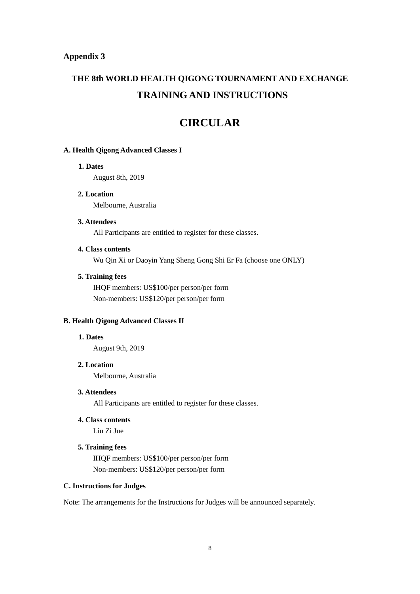# **THE 8th WORLD HEALTH QIGONG TOURNAMENT AND EXCHANGE TRAINING AND INSTRUCTIONS**

## **CIRCULAR**

#### **A. Health Qigong Advanced Classes I**

## **1. Dates**

August 8th, 2019

## **2. Location**

Melbourne, Australia

### **3. Attendees**

All Participants are entitled to register for these classes.

#### **4. Class contents**

Wu Qin Xi or Daoyin Yang Sheng Gong Shi Er Fa (choose one ONLY)

#### **5. Training fees**

IHQF members: US\$100/per person/per form Non-members: US\$120/per person/per form

## **B. Health Qigong Advanced Classes II**

### **1. Dates**

August 9th, 2019

#### **2. Location**

Melbourne, Australia

#### **3. Attendees**

All Participants are entitled to register for these classes.

## **4. Class contents**

Liu Zi Jue

### **5. Training fees**

IHQF members: US\$100/per person/per form Non-members: US\$120/per person/per form

## **C. Instructions for Judges**

Note: The arrangements for the Instructions for Judges will be announced separately.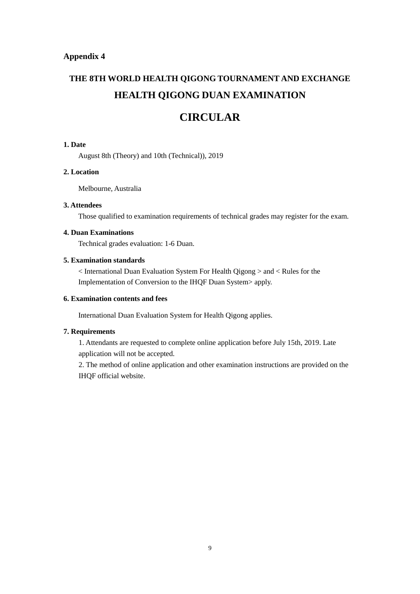# **THE 8TH WORLD HEALTH QIGONG TOURNAMENT AND EXCHANGE HEALTH QIGONG DUAN EXAMINATION**

## **CIRCULAR**

#### **1. Date**

August 8th (Theory) and 10th (Technical)), 2019

### **2. Location**

Melbourne, Australia

#### **3. Attendees**

Those qualified to examination requirements of technical grades may register for the exam.

### **4. Duan Examinations**

Technical grades evaluation: 1-6 Duan.

## **5. Examination standards**

< International Duan Evaluation System For Health Qigong > and < Rules for the Implementation of Conversion to the IHQF Duan System> apply.

## **6. Examination contents and fees**

International Duan Evaluation System for Health Qigong applies.

#### **7. Requirements**

1. Attendants are requested to complete online application before July 15th, 2019. Late application will not be accepted.

2. The method of online application and other examination instructions are provided on the IHQF official website.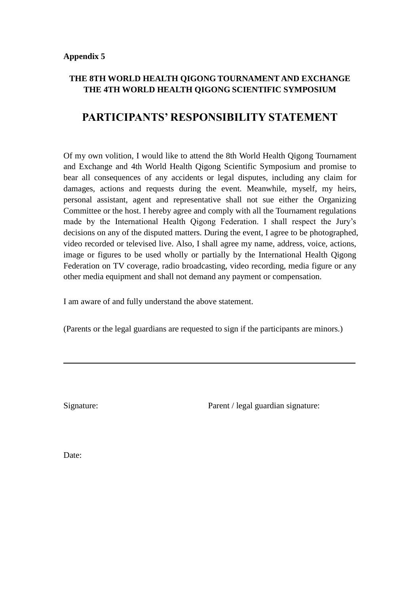## **THE 8TH WORLD HEALTH QIGONG TOURNAMENT AND EXCHANGE THE 4TH WORLD HEALTH QIGONG SCIENTIFIC SYMPOSIUM**

# **PARTICIPANTS' RESPONSIBILITY STATEMENT**

Of my own volition, I would like to attend the 8th World Health Qigong Tournament and Exchange and 4th World Health Qigong Scientific Symposium and promise to bear all consequences of any accidents or legal disputes, including any claim for damages, actions and requests during the event. Meanwhile, myself, my heirs, personal assistant, agent and representative shall not sue either the Organizing Committee or the host. I hereby agree and comply with all the Tournament regulations made by the International Health Qigong Federation. I shall respect the Jury's decisions on any of the disputed matters. During the event, I agree to be photographed, video recorded or televised live. Also, I shall agree my name, address, voice, actions, image or figures to be used wholly or partially by the International Health Qigong Federation on TV coverage, radio broadcasting, video recording, media figure or any other media equipment and shall not demand any payment or compensation.

I am aware of and fully understand the above statement.

(Parents or the legal guardians are requested to sign if the participants are minors.)

 $\overline{a}$ 

Signature: Parent / legal guardian signature:

Date: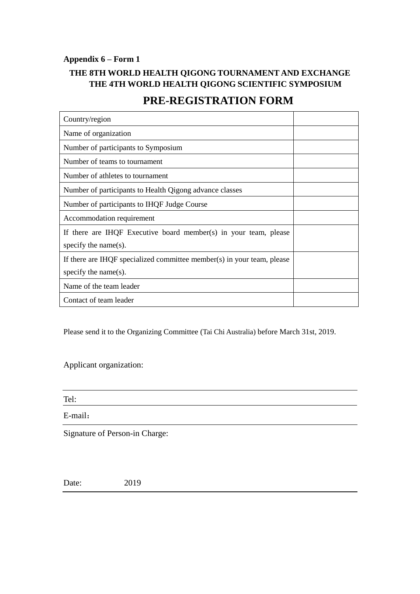## **Appendix 6 – Form 1 THE 8TH WORLD HEALTH QIGONG TOURNAMENT AND EXCHANGE THE 4TH WORLD HEALTH QIGONG SCIENTIFIC SYMPOSIUM**

## **PRE-REGISTRATION FORM**

| Country/region                                                         |  |  |  |  |  |  |  |
|------------------------------------------------------------------------|--|--|--|--|--|--|--|
| Name of organization                                                   |  |  |  |  |  |  |  |
| Number of participants to Symposium                                    |  |  |  |  |  |  |  |
| Number of teams to tournament                                          |  |  |  |  |  |  |  |
| Number of athletes to tournament                                       |  |  |  |  |  |  |  |
| Number of participants to Health Qigong advance classes                |  |  |  |  |  |  |  |
| Number of participants to IHQF Judge Course                            |  |  |  |  |  |  |  |
| Accommodation requirement                                              |  |  |  |  |  |  |  |
| If there are IHQF Executive board member(s) in your team, please       |  |  |  |  |  |  |  |
| specify the name $(s)$ .                                               |  |  |  |  |  |  |  |
| If there are IHQF specialized committee member(s) in your team, please |  |  |  |  |  |  |  |
| specify the name $(s)$ .                                               |  |  |  |  |  |  |  |
| Name of the team leader                                                |  |  |  |  |  |  |  |
| Contact of team leader                                                 |  |  |  |  |  |  |  |

Please send it to the Organizing Committee (Tai Chi Australia) before March 31st, 2019.

Applicant organization:

Tel:

E-mail:

Signature of Person-in Charge:

Date: 2019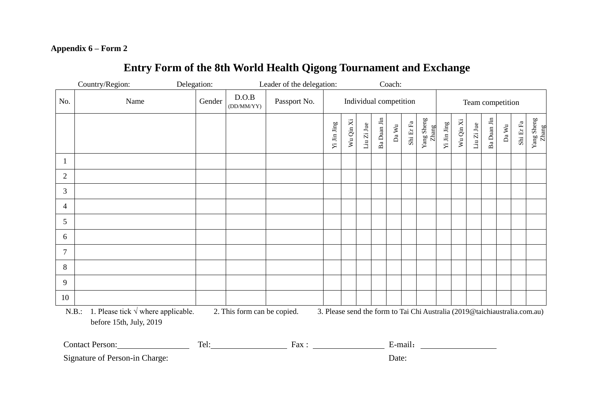## **Appendix 6 – Form 2**

|                | Country/Region:                             | Delegation: |                            | Leader of the delegation: |                        |                                         |                                               |                        | Coach:                 |                  |                                                                            |             |                                         |                                    |             |                        |                  |                                          |
|----------------|---------------------------------------------|-------------|----------------------------|---------------------------|------------------------|-----------------------------------------|-----------------------------------------------|------------------------|------------------------|------------------|----------------------------------------------------------------------------|-------------|-----------------------------------------|------------------------------------|-------------|------------------------|------------------|------------------------------------------|
| No.            | Name                                        | Gender      | D.O.B<br>(DD/MM/YY)        | Passport No.              |                        |                                         |                                               | Individual competition |                        |                  |                                                                            |             |                                         |                                    |             | Team competition       |                  |                                          |
|                |                                             |             |                            |                           | $\mathbf{Yi}$ Jin Jing | $\operatorname{W}\!{\mathbf{u}}$ Qin Xi | $\frac{\text{Liu } \text{Zi} \text{ Jue}}{2}$ | Ba Duan Jin            | ${\rm Da} \, {\rm Wu}$ | Shi $\rm Er\,Fa$ | $\frac{1}{2}$ Sheng Zhang                                                  | Yi Jin Jing | $\operatorname{W}\!{\mathbf{u}}$ Qin Xi | $\mathop{\rm Lin}\nolimits Zi$ Jue | Ba Duan Jin | ${\rm Da} \, {\rm Wu}$ | Shi $\rm Er\,Fa$ | $\frac{\text{Yang Sheng}}{\text{Zhang}}$ |
| $\mathbf{1}$   |                                             |             |                            |                           |                        |                                         |                                               |                        |                        |                  |                                                                            |             |                                         |                                    |             |                        |                  |                                          |
| $\overline{2}$ |                                             |             |                            |                           |                        |                                         |                                               |                        |                        |                  |                                                                            |             |                                         |                                    |             |                        |                  |                                          |
| 3              |                                             |             |                            |                           |                        |                                         |                                               |                        |                        |                  |                                                                            |             |                                         |                                    |             |                        |                  |                                          |
| $\overline{4}$ |                                             |             |                            |                           |                        |                                         |                                               |                        |                        |                  |                                                                            |             |                                         |                                    |             |                        |                  |                                          |
| 5              |                                             |             |                            |                           |                        |                                         |                                               |                        |                        |                  |                                                                            |             |                                         |                                    |             |                        |                  |                                          |
| 6              |                                             |             |                            |                           |                        |                                         |                                               |                        |                        |                  |                                                                            |             |                                         |                                    |             |                        |                  |                                          |
| $\overline{7}$ |                                             |             |                            |                           |                        |                                         |                                               |                        |                        |                  |                                                                            |             |                                         |                                    |             |                        |                  |                                          |
| 8              |                                             |             |                            |                           |                        |                                         |                                               |                        |                        |                  |                                                                            |             |                                         |                                    |             |                        |                  |                                          |
| 9              |                                             |             |                            |                           |                        |                                         |                                               |                        |                        |                  |                                                                            |             |                                         |                                    |             |                        |                  |                                          |
| 10             |                                             |             |                            |                           |                        |                                         |                                               |                        |                        |                  |                                                                            |             |                                         |                                    |             |                        |                  |                                          |
| $N R$ .        | 1. Please tick $\sqrt{ }$ where applicable. |             | 2. This form can be copied |                           |                        |                                         |                                               |                        |                        |                  | 3. Please send the form to Tai Chi Australia (2019@taichiaustralia com au) |             |                                         |                                    |             |                        |                  |                                          |

# **Entry Form of the 8th World Health Qigong Tournament and Exchange**

N.B.: 1. Please tick √ where applicable. 2. This form can be copied. 3. Please send the form to Tai Chi Australia (2019@taichiaustralia.com.au) before 15th, July, 2019

| Person: | $\Delta$ | HOT. | $+$ man |
|---------|----------|------|---------|
| Contact | w        | άΔ   |         |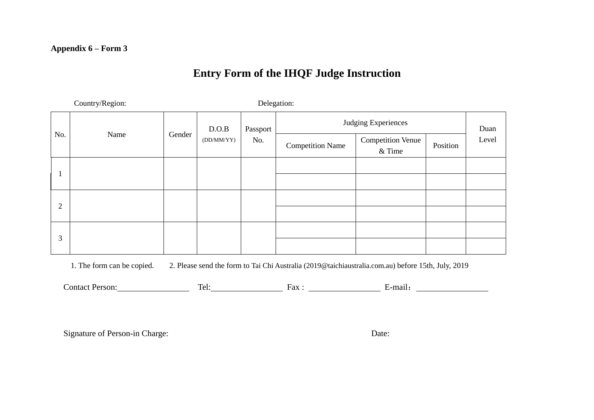# **Entry Form of the IHQF Judge Instruction**

|                | Country/Region:<br>Delegation: |        |                   |     |                            |                                    |          |       |  |
|----------------|--------------------------------|--------|-------------------|-----|----------------------------|------------------------------------|----------|-------|--|
|                |                                |        | D.O.B<br>Passport |     | <b>Judging Experiences</b> |                                    | Duan     |       |  |
| No.            | Name                           | Gender | (DD/MM/YY)        | No. | <b>Competition Name</b>    | <b>Competition Venue</b><br>& Time | Position | Level |  |
| л              |                                |        |                   |     |                            |                                    |          |       |  |
|                |                                |        |                   |     |                            |                                    |          |       |  |
| $\overline{2}$ |                                |        |                   |     |                            |                                    |          |       |  |
|                |                                |        |                   |     |                            |                                    |          |       |  |
|                |                                |        |                   |     |                            |                                    |          |       |  |
| 3              |                                |        |                   |     |                            |                                    |          |       |  |

1. The form can be copied. 2. Please send the form to Tai Chi Australia (2019@taichiaustralia.com.au) before 15th, July, 2019

Contact Person: Tel: Tel: Fax : Fax : E-mail: E-mail: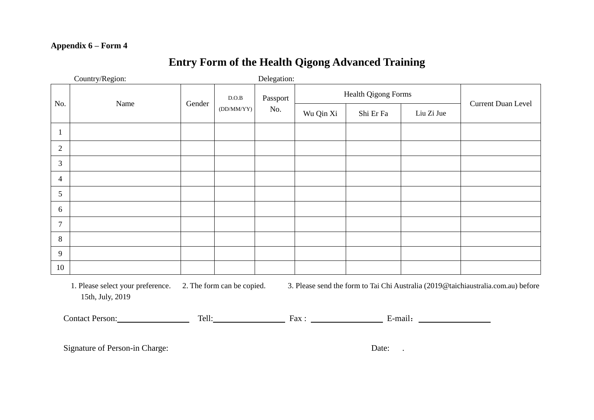## **Appendix 6 – Form 4**

# **Entry Form of the Health Qigong Advanced Training**

|                | Country/Region:                                       |                   |                            | Delegation: |           |                     |                    |                                                                                   |
|----------------|-------------------------------------------------------|-------------------|----------------------------|-------------|-----------|---------------------|--------------------|-----------------------------------------------------------------------------------|
| No.            | Name                                                  | $D.O.B$<br>Gender |                            | Passport    |           | Health Qigong Forms | Current Duan Level |                                                                                   |
|                |                                                       |                   | (DD/MM/YY)                 | No.         | Wu Qin Xi | Shi Er Fa           | Liu Zi Jue         |                                                                                   |
| $\mathbf{1}$   |                                                       |                   |                            |             |           |                     |                    |                                                                                   |
| 2              |                                                       |                   |                            |             |           |                     |                    |                                                                                   |
| 3              |                                                       |                   |                            |             |           |                     |                    |                                                                                   |
| $\overline{4}$ |                                                       |                   |                            |             |           |                     |                    |                                                                                   |
| 5              |                                                       |                   |                            |             |           |                     |                    |                                                                                   |
| 6              |                                                       |                   |                            |             |           |                     |                    |                                                                                   |
| $\tau$         |                                                       |                   |                            |             |           |                     |                    |                                                                                   |
| $8\,$          |                                                       |                   |                            |             |           |                     |                    |                                                                                   |
| 9              |                                                       |                   |                            |             |           |                     |                    |                                                                                   |
| 10             |                                                       |                   |                            |             |           |                     |                    |                                                                                   |
|                | 1. Please select your preference.<br>15th, July, 2019 |                   | 2. The form can be copied. |             |           |                     |                    | 3. Please send the form to Tai Chi Australia (2019@taichiaustralia.com.au) before |
|                | <b>Contact Person:</b>                                | Tell:             |                            |             | Fax:      | E-mail:             |                    |                                                                                   |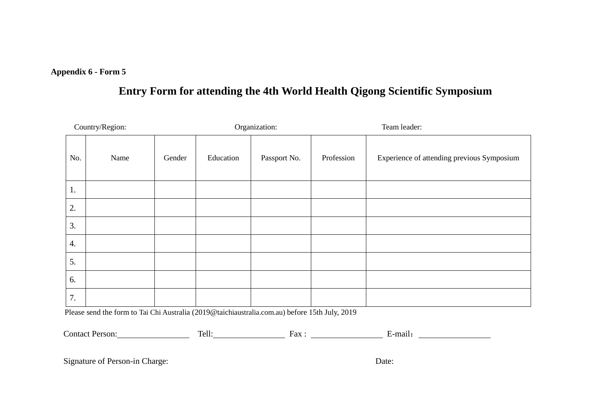## **Appendix 6 - Form 5**

# **Entry Form for attending the 4th World Health Qigong Scientific Symposium**

|     | Country/Region: |        |           | Organization: | Team leader: |                                            |  |
|-----|-----------------|--------|-----------|---------------|--------------|--------------------------------------------|--|
| No. | Name            | Gender | Education | Passport No.  | Profession   | Experience of attending previous Symposium |  |
| 1.  |                 |        |           |               |              |                                            |  |
| 2.  |                 |        |           |               |              |                                            |  |
| 3.  |                 |        |           |               |              |                                            |  |
| 4.  |                 |        |           |               |              |                                            |  |
| 5.  |                 |        |           |               |              |                                            |  |
| 6.  |                 |        |           |               |              |                                            |  |
| 7.  |                 |        |           |               |              |                                            |  |

Please send the form to Tai Chi Australia (2019@taichiaustralia.com.au) before 15th July, 2019

Contact Person: Tell: Tell: Fax : E-mail: E-mail: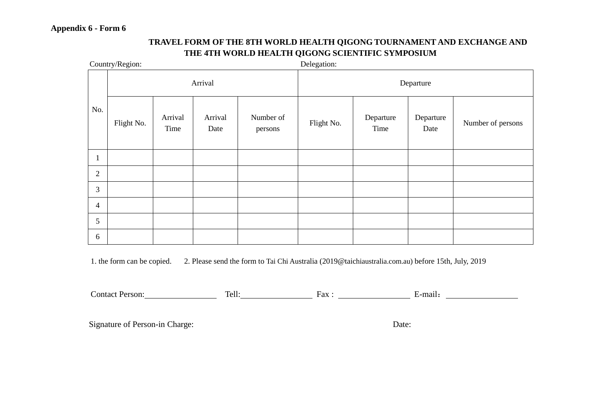|                | Country/Region: |                 |                 |                      | Delegation: |                   |                   |                   |
|----------------|-----------------|-----------------|-----------------|----------------------|-------------|-------------------|-------------------|-------------------|
|                |                 |                 | Arrival         |                      |             |                   | Departure         |                   |
| No.            | Flight No.      | Arrival<br>Time | Arrival<br>Date | Number of<br>persons | Flight No.  | Departure<br>Time | Departure<br>Date | Number of persons |
| $\mathbf{1}$   |                 |                 |                 |                      |             |                   |                   |                   |
| $\overline{2}$ |                 |                 |                 |                      |             |                   |                   |                   |
| 3              |                 |                 |                 |                      |             |                   |                   |                   |
| $\overline{4}$ |                 |                 |                 |                      |             |                   |                   |                   |
| 5              |                 |                 |                 |                      |             |                   |                   |                   |
| 6              |                 |                 |                 |                      |             |                   |                   |                   |

## **TRAVEL FORM OF THE 8TH WORLD HEALTH QIGONG TOURNAMENT AND EXCHANGE AND THE 4TH WORLD HEALTH QIGONG SCIENTIFIC SYMPOSIUM**

1. the form can be copied. 2. Please send the form to Tai Chi Australia (2019@taichiaustralia.com.au) before 15th, July, 2019

| Contact'<br>$\sim$<br>Person.<br>$\Delta$<br>-03<br>r as<br>. v. |  |
|------------------------------------------------------------------|--|
|------------------------------------------------------------------|--|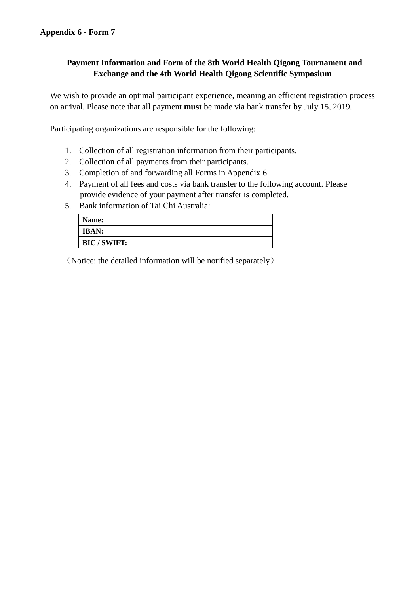## **Payment Information and Form of the 8th World Health Qigong Tournament and Exchange and the 4th World Health Qigong Scientific Symposium**

We wish to provide an optimal participant experience, meaning an efficient registration process on arrival. Please note that all payment **must** be made via bank transfer by July 15, 2019.

Participating organizations are responsible for the following:

- 1. Collection of all registration information from their participants.
- 2. Collection of all payments from their participants.
- 3. Completion of and forwarding all Forms in Appendix 6.
- 4. Payment of all fees and costs via bank transfer to the following account. Please provide evidence of your payment after transfer is completed.
- 5. Bank information of Tai Chi Australia:

| Name:             |  |
|-------------------|--|
| IBAN:             |  |
| <b>BIC/SWIFT:</b> |  |

(Notice: the detailed information will be notified separately)